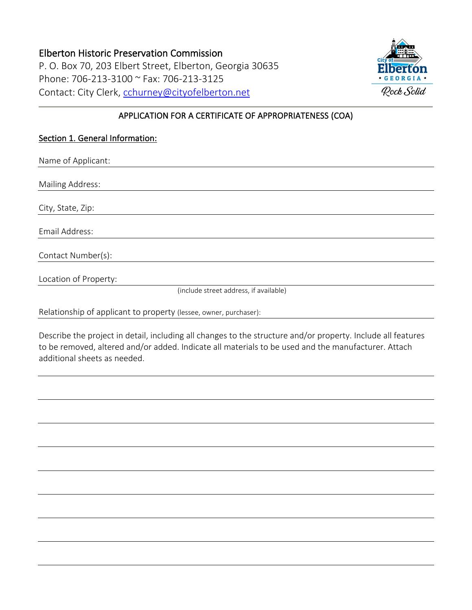## Elberton Historic Preservation Commission P. O. Box 70, 203 Elbert Street, Elberton, Georgia 30635 Phone: 706-213-3100 ~ Fax: 706-213-3125 Contact: City Clerk, [cchurney@cityofelberton.net](mailto:cchurney@cityofelberton.net)



## APPLICATION FOR A CERTIFICATE OF APPROPRIATENESS (COA)

## Section 1. General Information:

Name of Applicant: Mailing Address: City, State, Zip: Email Address: Contact Number(s): Location of Property: (include street address, if available)

Relationship of applicant to property (lessee, owner, purchaser):

Describe the project in detail, including all changes to the structure and/or property. Include all features to be removed, altered and/or added. Indicate all materials to be used and the manufacturer. Attach additional sheets as needed.